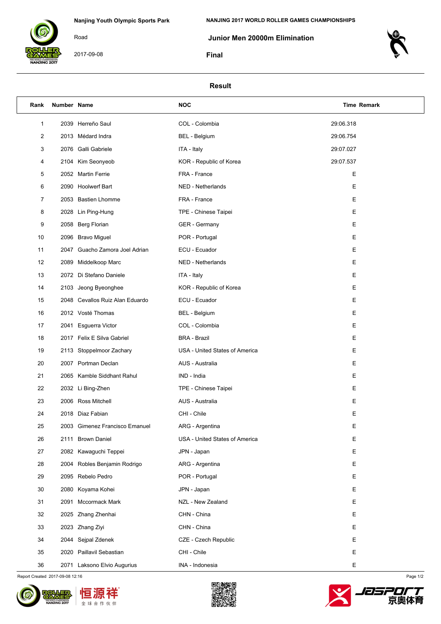

2017-09-08

Road

 **Junior Men 20000m Elimination**

**Final**



## **Result**

| Rank | Number Name |                                 | <b>NOC</b>                     | <b>Time Remark</b> |  |
|------|-------------|---------------------------------|--------------------------------|--------------------|--|
| 1    |             | 2039 Herreño Saul               | COL - Colombia                 | 29:06.318          |  |
| 2    |             | 2013 Médard Indra               | <b>BEL</b> - Belgium           | 29:06.754          |  |
| 3    |             | 2076 Galli Gabriele             | ITA - Italy                    | 29:07.027          |  |
| 4    |             | 2104 Kim Seonyeob               | KOR - Republic of Korea        | 29:07.537          |  |
| 5    |             | 2052 Martin Ferrie              | FRA - France                   | Е                  |  |
| 6    |             | 2090 Hoolwerf Bart              | NED - Netherlands              | Е                  |  |
| 7    |             | 2053 Bastien Lhomme             | FRA - France                   | Е                  |  |
| 8    |             | 2028 Lin Ping-Hung              | TPE - Chinese Taipei           | Е                  |  |
| 9    |             | 2058 Berg Florian               | <b>GER</b> - Germany           | Е                  |  |
| 10   |             | 2096 Bravo Miguel               | POR - Portugal                 | Е                  |  |
| 11   |             | 2047 Guacho Zamora Joel Adrian  | ECU - Ecuador                  | Е                  |  |
| 12   |             | 2089 Middelkoop Marc            | NED - Netherlands              | Е                  |  |
| 13   |             | 2072 Di Stefano Daniele         | ITA - Italy                    | Е                  |  |
| 14   |             | 2103 Jeong Byeonghee            | KOR - Republic of Korea        | Е                  |  |
| 15   |             | 2048 Cevallos Ruiz Alan Eduardo | ECU - Ecuador                  | Е                  |  |
| 16   |             | 2012 Vosté Thomas               | <b>BEL</b> - Belgium           | Е                  |  |
| 17   |             | 2041 Esguerra Victor            | COL - Colombia                 | Е                  |  |
| 18   |             | 2017 Felix E Silva Gabriel      | <b>BRA</b> - Brazil            | Е                  |  |
| 19   |             | 2113 Stoppelmoor Zachary        | USA - United States of America | Е                  |  |
| 20   |             | 2007 Portman Declan             | AUS - Australia                | Е                  |  |
| 21   |             | 2065 Kamble Siddhant Rahul      | IND - India                    | Е                  |  |
| 22   |             | 2032 Li Bing-Zhen               | TPE - Chinese Taipei           | Е                  |  |
| 23   |             | 2006 Ross Mitchell              | AUS - Australia                | Е                  |  |
| 24   |             | 2018 Diaz Fabian                | CHI - Chile                    | Е                  |  |
| 25   |             | 2003 Gimenez Francisco Emanuel  | ARG - Argentina                | Ε                  |  |
| 26   |             | 2111 Brown Daniel               | USA - United States of America | Е                  |  |
| 27   |             | 2082 Kawaguchi Teppei           | JPN - Japan                    | Е                  |  |
| 28   |             | 2004 Robles Benjamin Rodrigo    | ARG - Argentina                | Е                  |  |
| 29   |             | 2095 Rebelo Pedro               | POR - Portugal                 | Е                  |  |
| 30   |             | 2080 Koyama Kohei               | JPN - Japan                    | Е                  |  |
| 31   |             | 2091 Mccormack Mark             | NZL - New Zealand              | Е                  |  |
| 32   |             | 2025 Zhang Zhenhai              | CHN - China                    | Е                  |  |
| 33   |             | 2023 Zhang Ziyi                 | CHN - China                    | Е                  |  |
| 34   |             | 2044 Sejpal Zdenek              | CZE - Czech Republic           | Е                  |  |
| 35   |             | 2020 Paillavil Sebastian        | CHI - Chile                    | Е                  |  |
| 36   |             | 2071 Laksono Elvio Augurius     | INA - Indonesia                | Е                  |  |

Report Created 2017-09-08 12:16 Page 1/2